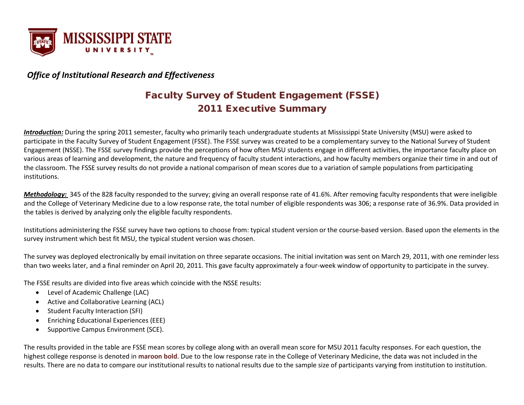

#### *Office of Institutional Research and Effectiveness*

### Faculty Survey of Student Engagement (FSSE) 2011 Executive Summary

*Introduction:* During the spring 2011 semester, faculty who primarily teach undergraduate students at Mississippi State University (MSU) were asked to participate in the Faculty Survey of Student Engagement (FSSE). The FSSE survey was created to be a complementary survey to the National Survey of Student Engagement (NSSE). The FSSE survey findings provide the perceptions of how often MSU students engage in different activities, the importance faculty place on various areas of learning and development, the nature and frequency of faculty student interactions, and how faculty members organize their time in and out of the classroom. The FSSE survey results do not provide a national comparison of mean scores due to a variation of sample populations from participating institutions.

*Methodology:* 345 of the 828 faculty responded to the survey; giving an overall response rate of 41.6%. After removing faculty respondents that were ineligible and the College of Veterinary Medicine due to a low response rate, the total number of eligible respondents was 306; a response rate of 36.9%. Data provided in the tables is derived by analyzing only the eligible faculty respondents.

Institutions administering the FSSE survey have two options to choose from: typical student version or the course-based version. Based upon the elements in the survey instrument which best fit MSU, the typical student version was chosen.

The survey was deployed electronically by email invitation on three separate occasions. The initial invitation was sent on March 29, 2011, with one reminder less than two weeks later, and a final reminder on April 20, 2011. This gave faculty approximately a four-week window of opportunity to participate in the survey.

The FSSE results are divided into five areas which coincide with the NSSE results:

- Level of Academic Challenge (LAC)
- Active and Collaborative Learning (ACL)
- Student Faculty Interaction (SFI)
- Enriching Educational Experiences (EEE)
- Supportive Campus Environment (SCE).

The results provided in the table are FSSE mean scores by college along with an overall mean score for MSU 2011 faculty responses. For each question, the highest college response is denoted in **maroon bold**. Due to the low response rate in the College of Veterinary Medicine, the data was not included in the results. There are no data to compare our institutional results to national results due to the sample size of participants varying from institution to institution.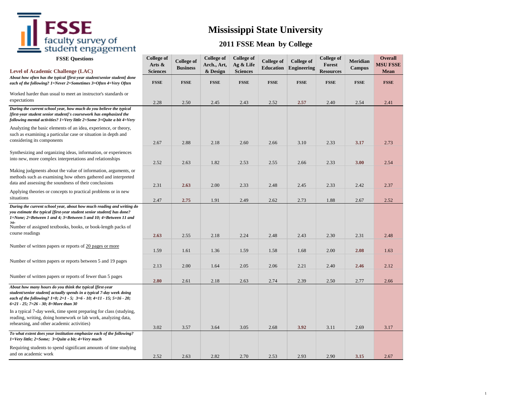# **FSSE**<br>faculty survey of<br>student engagement

## **Mississippi State University**

| <b>FSSE Questions</b><br><b>Level of Academic Challenge (LAC)</b>                                                                                                                                                                                                                          | <b>College of</b><br>Arts &<br><b>Sciences</b> | <b>College of</b><br><b>Business</b> | <b>College of</b><br>Arch., Art,<br>& Design | <b>College of</b><br>Ag & Life<br><b>Sciences</b> | <b>College</b> of<br><b>Education</b> | <b>College of</b><br>Engineering | <b>College of</b><br>Forest<br><b>Resources</b> | Meridian<br><b>Campus</b> | <b>Overall</b><br><b>MSU FSSE</b><br>Mean |
|--------------------------------------------------------------------------------------------------------------------------------------------------------------------------------------------------------------------------------------------------------------------------------------------|------------------------------------------------|--------------------------------------|----------------------------------------------|---------------------------------------------------|---------------------------------------|----------------------------------|-------------------------------------------------|---------------------------|-------------------------------------------|
| About how often has the typical [first-year student/senior student] done<br>each of the following? 1=Never 2=Sometimes 3=Often 4=Very Often                                                                                                                                                | <b>FSSE</b>                                    | <b>FSSE</b>                          | <b>FSSE</b>                                  | <b>FSSE</b>                                       | <b>FSSE</b>                           | <b>FSSE</b>                      | <b>FSSE</b>                                     | <b>FSSE</b>               | <b>FSSE</b>                               |
| Worked harder than usual to meet an instructor's standards or<br>expectations                                                                                                                                                                                                              | 2.28                                           | 2.50                                 | 2.45                                         | 2.43                                              | 2.52                                  | 2.57                             | 2.40                                            | 2.54                      | 2.41                                      |
| During the current school year, how much do you believe the typical<br>[first-year student senior student]'s coursework has emphasized the<br>following mental activities? 1=Very little 2=Some 3=Quite a bit 4=Very                                                                       |                                                |                                      |                                              |                                                   |                                       |                                  |                                                 |                           |                                           |
| Analyzing the basic elements of an idea, experience, or theory,<br>such as examining a particular case or situation in depth and<br>considering its components                                                                                                                             | 2.67                                           | 2.88                                 | 2.18                                         | 2.60                                              | 2.66                                  | 3.10                             | 2.33                                            | 3.17                      | 2.73                                      |
| Synthesizing and organizing ideas, information, or experiences<br>into new, more complex interpretations and relationships                                                                                                                                                                 | 2.52                                           | 2.63                                 | 1.82                                         | 2.53                                              | 2.55                                  | 2.66                             | 2.33                                            | 3.00                      | 2.54                                      |
| Making judgments about the value of information, arguments, or<br>methods such as examining how others gathered and interpreted<br>data and assessing the soundness of their conclusions                                                                                                   | 2.31                                           | 2.63                                 | 2.00                                         | 2.33                                              | 2.48                                  | 2.45                             | 2.33                                            | 2.42                      | 2.37                                      |
| Applying theories or concepts to practical problems or in new<br>situations                                                                                                                                                                                                                | 2.47                                           | 2.75                                 | 1.91                                         | 2.49                                              | 2.62                                  | 2.73                             | 1.88                                            | 2.67                      | 2.52                                      |
| During the current school year, about how much reading and writing do<br>you estimate the typical [first-year student senior student] has done?<br>1=None; 2=Between 1 and 4; 3=Between 5 and 10; 4=Between 11 and<br>20.5<br>Number of assigned textbooks, books, or book-length packs of |                                                |                                      |                                              |                                                   |                                       |                                  |                                                 |                           |                                           |
| course readings                                                                                                                                                                                                                                                                            | 2.63                                           | 2.55                                 | 2.18                                         | 2.24                                              | 2.48                                  | 2.43                             | 2.30                                            | 2.31                      | 2.48                                      |
| Number of written papers or reports of 20 pages or more                                                                                                                                                                                                                                    | 1.59                                           | 1.61                                 | 1.36                                         | 1.59                                              | 1.58                                  | 1.68                             | 2.00                                            | 2.08                      | 1.63                                      |
| Number of written papers or reports between 5 and 19 pages                                                                                                                                                                                                                                 | 2.13                                           | 2.00                                 | 1.64                                         | 2.05                                              | 2.06                                  | 2.21                             | 2.40                                            | 2.46                      | 2.12                                      |
| Number of written papers or reports of fewer than 5 pages                                                                                                                                                                                                                                  | 2.80                                           | 2.61                                 | 2.18                                         | 2.63                                              | 2.74                                  | 2.39                             | 2.50                                            | 2.77                      | 2.66                                      |
| About how many hours do you think the typical [first-year<br>student/senior student] actually spends in a typical 7-day week doing<br>each of the following? $1=0$ ; $2=1-5$ ; $3=6-10$ ; $4=11-15$ ; $5=16-20$ ;<br>6=21 - 25; 7=26 - 30; 8=More than 30                                  |                                                |                                      |                                              |                                                   |                                       |                                  |                                                 |                           |                                           |
| In a typical 7-day week, time spent preparing for class (studying,<br>reading, writing, doing homework or lab work, analyzing data,<br>rehearsing, and other academic activities)                                                                                                          | 3.02                                           | 3.57                                 | 3.64                                         | 3.05                                              | 2.68                                  | 3.92                             | 3.11                                            | 2.69                      | 3.17                                      |
| To what extent does your institution emphasize each of the following?<br>1=Very little; 2=Some; 3=Quite a bit; 4=Very much                                                                                                                                                                 |                                                |                                      |                                              |                                                   |                                       |                                  |                                                 |                           |                                           |
| Requiring students to spend significant amounts of time studying<br>and on academic work                                                                                                                                                                                                   | 2.52                                           | 2.63                                 | 2.82                                         | 2.70                                              | 2.53                                  | 2.93                             | 2.90                                            | 3.15                      | 2.67                                      |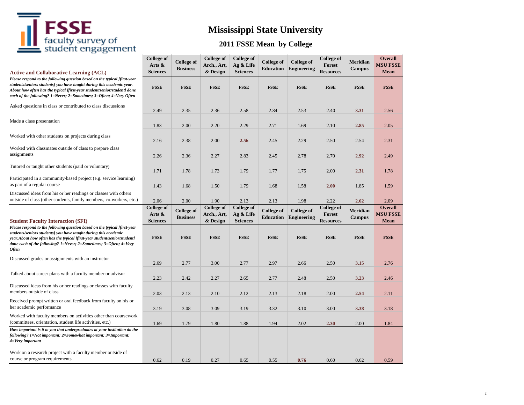

## **Mississippi State University**

| <b>Active and Collaborative Learning (ACL)</b>                                                                                                                                                                                                                                                                | <b>College of</b><br>Arts &<br><b>Sciences</b> | <b>College of</b><br><b>Business</b> | <b>College of</b><br>Arch., Art,<br>& Design | <b>College of</b><br>Ag & Life<br><b>Sciences</b> | <b>College of</b><br><b>Education</b> | <b>College of</b><br>Engineering        | <b>College of</b><br>Forest<br><b>Resources</b> | <b>Meridian</b><br>Campus        | <b>Overall</b><br><b>MSU FSSE</b><br><b>Mean</b> |
|---------------------------------------------------------------------------------------------------------------------------------------------------------------------------------------------------------------------------------------------------------------------------------------------------------------|------------------------------------------------|--------------------------------------|----------------------------------------------|---------------------------------------------------|---------------------------------------|-----------------------------------------|-------------------------------------------------|----------------------------------|--------------------------------------------------|
| Please respond to the following question based on the typical [first-year<br>students/seniors students] you have taught during this academic year.<br>About how often has the typical [first-year student/senior/student] done<br>each of the following? 1=Never; 2=Sometimes; 3=Often; 4=Very Often          | <b>FSSE</b>                                    | <b>FSSE</b>                          | <b>FSSE</b>                                  | <b>FSSE</b>                                       | <b>FSSE</b>                           | <b>FSSE</b>                             | <b>FSSE</b>                                     | <b>FSSE</b>                      | <b>FSSE</b>                                      |
| Asked questions in class or contributed to class discussions                                                                                                                                                                                                                                                  | 2.49                                           | 2.35                                 | 2.36                                         | 2.58                                              | 2.84                                  | 2.53                                    | 2.40                                            | 3.31                             | 2.56                                             |
| Made a class presentation                                                                                                                                                                                                                                                                                     | 1.83                                           | 2.00                                 | 2.20                                         | 2.29                                              | 2.71                                  | 1.69                                    | 2.10                                            | 2.85                             | 2.05                                             |
| Worked with other students on projects during class                                                                                                                                                                                                                                                           | 2.16                                           | 2.38                                 | 2.00                                         | 2.56                                              | 2.45                                  | 2.29                                    | 2.50                                            | 2.54                             | 2.31                                             |
| Worked with classmates outside of class to prepare class<br>assignments                                                                                                                                                                                                                                       | 2.26                                           | 2.36                                 | 2.27                                         | 2.83                                              | 2.45                                  | 2.78                                    | 2.70                                            | 2.92                             | 2.49                                             |
| Tutored or taught other students (paid or voluntary)                                                                                                                                                                                                                                                          | 1.71                                           | 1.78                                 | 1.73                                         | 1.79                                              | 1.77                                  | 1.75                                    | 2.00                                            | 2.31                             | 1.78                                             |
| Participated in a community-based project (e.g. service learning)<br>as part of a regular course                                                                                                                                                                                                              | 1.43                                           | 1.68                                 | 1.50                                         | 1.79                                              | 1.68                                  | 1.58                                    | 2.00                                            | 1.85                             | 1.59                                             |
| Discussed ideas from his or her readings or classes with others<br>outside of class (other students, family members, co-workers, etc.)                                                                                                                                                                        | 2.06                                           | 2.00                                 | 1.90                                         | 2.13                                              | 2.13                                  | 1.98                                    | 2.22                                            | 2.62                             | 2.09                                             |
| <b>Student Faculty Interaction (SFI)</b>                                                                                                                                                                                                                                                                      | <b>College of</b><br>Arts &<br><b>Sciences</b> | <b>College of</b><br><b>Business</b> | <b>College of</b><br>Arch., Art,<br>& Design | <b>College of</b><br>Ag & Life<br><b>Sciences</b> | <b>College of</b><br><b>Education</b> | <b>College of</b><br><b>Engineering</b> | <b>College of</b><br>Forest<br><b>Resources</b> | <b>Meridian</b><br><b>Campus</b> | <b>Overall</b><br><b>MSU FSSE</b><br><b>Mean</b> |
| Please respond to the following question based on the typical [first-year<br>students/seniors students] you have taught during this academic<br>year.About how often has the typical [first-year student/senior/student]<br>done each of the following? 1=Never; 2=Sometimes; 3=Often; 4=Very<br><b>Often</b> | <b>FSSE</b>                                    | <b>FSSE</b>                          | <b>FSSE</b>                                  | <b>FSSE</b>                                       | <b>FSSE</b>                           | <b>FSSE</b>                             | <b>FSSE</b>                                     | <b>FSSE</b>                      | <b>FSSE</b>                                      |
| Discussed grades or assignments with an instructor                                                                                                                                                                                                                                                            | 2.69                                           | 2.77                                 | 3.00                                         | 2.77                                              | 2.97                                  | 2.66                                    | 2.50                                            | 3.15                             | 2.76                                             |
| Talked about career plans with a faculty member or advisor                                                                                                                                                                                                                                                    | 2.23                                           | 2.42                                 | 2.27                                         | 2.65                                              | 2.77                                  | 2.48                                    | 2.50                                            | 3.23                             | 2.46                                             |
| Discussed ideas from his or her readings or classes with faculty<br>members outside of class                                                                                                                                                                                                                  | 2.03                                           | 2.13                                 | 2.10                                         | 2.12                                              | 2.13                                  | 2.18                                    | 2.00                                            | 2.54                             | 2.11                                             |
| Received prompt written or oral feedback from faculty on his or<br>her academic performance                                                                                                                                                                                                                   | 3.19                                           | 3.08                                 | 3.09                                         | 3.19                                              | 3.32                                  | 3.10                                    | 3.00                                            | 3.38                             | 3.18                                             |
| Worked with faculty members on activities other than coursework<br>(committees, orientation, student life activities, etc.)                                                                                                                                                                                   | 1.69                                           | 1.79                                 | 1.80                                         | 1.88                                              | 1.94                                  | 2.02                                    | 2.30                                            | 2.00                             | 1.84                                             |
| How important is it to you that undergraduates at your institution do the<br>following? 1=Not important; 2=Somewhat important; 3=Important;<br>4=Very important                                                                                                                                               |                                                |                                      |                                              |                                                   |                                       |                                         |                                                 |                                  |                                                  |
| Work on a research project with a faculty member outside of<br>course or program requirements                                                                                                                                                                                                                 |                                                |                                      |                                              |                                                   |                                       |                                         |                                                 |                                  |                                                  |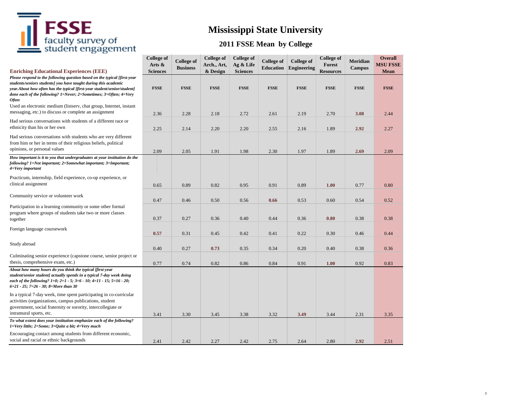

## **Mississippi State University**

| <b>Enriching Educational Experiences (EEE)</b>                                                                                                                                                                                                                                                                                                                                                                                               | <b>College of</b><br>Arts &<br><b>Sciences</b> | <b>College of</b><br><b>Business</b> | <b>College of</b><br>Arch., Art,<br>& Design | <b>College of</b><br>Ag & Life<br><b>Sciences</b> | <b>College of</b><br><b>Education</b> | <b>College of</b><br><b>Engineering</b> | <b>College of</b><br>Forest<br><b>Resources</b> | Meridian<br><b>Campus</b> | <b>Overall</b><br><b>MSU FSSE</b><br><b>Mean</b> |
|----------------------------------------------------------------------------------------------------------------------------------------------------------------------------------------------------------------------------------------------------------------------------------------------------------------------------------------------------------------------------------------------------------------------------------------------|------------------------------------------------|--------------------------------------|----------------------------------------------|---------------------------------------------------|---------------------------------------|-----------------------------------------|-------------------------------------------------|---------------------------|--------------------------------------------------|
| Please respond to the following question based on the typical [first-year<br>students/seniors students] you have taught during this academic<br>year.About how often has the typical [first-year student/senior/student]<br>done each of the following? 1=Never; 2=Sometimes; 3=Often; 4=Very<br><b>Often</b><br>Used an electronic medium (listserv, chat group, Internet, instant<br>messaging, etc.) to discuss or complete an assignment | <b>FSSE</b>                                    | <b>FSSE</b>                          | <b>FSSE</b>                                  | <b>FSSE</b>                                       | <b>FSSE</b>                           | <b>FSSE</b>                             | <b>FSSE</b>                                     | <b>FSSE</b>               | <b>FSSE</b>                                      |
| Had serious conversations with students of a different race or<br>ethnicity than his or her own                                                                                                                                                                                                                                                                                                                                              | 2.36<br>2.25                                   | 2.28<br>2.14                         | 2.18<br>2.20                                 | 2.72<br>2.20                                      | 2.61<br>2.55                          | 2.19<br>2.16                            | 2.70<br>1.89                                    | 3.08<br>2.92              | 2.44<br>2.27                                     |
| Had serious conversations with students who are very different<br>from him or her in terms of their religious beliefs, political<br>opinions, or personal values                                                                                                                                                                                                                                                                             | 2.09                                           | 2.05                                 | 1.91                                         | 1.98                                              | 2.30                                  | 1.97                                    | 1.89                                            | 2.69                      | 2.09                                             |
| How important is it to you that undergraduates at your institution do the<br>following? 1=Not important; 2=Somewhat important; 3=Important;<br>4=Very important                                                                                                                                                                                                                                                                              |                                                |                                      |                                              |                                                   |                                       |                                         |                                                 |                           |                                                  |
| Practicum, internship, field experience, co-op experience, or<br>clinical assignment                                                                                                                                                                                                                                                                                                                                                         | 0.65                                           | 0.89                                 | 0.82                                         | 0.95                                              | 0.91                                  | 0.89                                    | 1.00                                            | 0.77                      | 0.80                                             |
| Community service or volunteer work                                                                                                                                                                                                                                                                                                                                                                                                          | 0.47                                           | 0.46                                 | 0.50                                         | 0.56                                              | 0.66                                  | 0.53                                    | 0.60                                            | 0.54                      | 0.52                                             |
| Participation in a learning community or some other formal<br>program where groups of students take two or more classes<br>together                                                                                                                                                                                                                                                                                                          | 0.37                                           | 0.27                                 | 0.36                                         | 0.40                                              | 0.44                                  | 0.36                                    | 0.80                                            | 0.38                      | 0.38                                             |
| Foreign language coursework                                                                                                                                                                                                                                                                                                                                                                                                                  | 0.57                                           | 0.31                                 | 0.45                                         | 0.42                                              | 0.41                                  | 0.22                                    | 0.30                                            | 0.46                      | 0.44                                             |
| Study abroad                                                                                                                                                                                                                                                                                                                                                                                                                                 | 0.40                                           | 0.27                                 | 0.73                                         | 0.35                                              | 0.34                                  | 0.20                                    | 0.40                                            | 0.38                      | 0.36                                             |
| Culminating senior experience (capstone course, senior project or<br>thesis, comprehensive exam, etc.)                                                                                                                                                                                                                                                                                                                                       | 0.77                                           | 0.74                                 | 0.82                                         | 0.86                                              | 0.84                                  | 0.91                                    | 1.00                                            | 0.92                      | 0.83                                             |
| About how many hours do you think the typical [first-year<br>student/senior student] actually spends in a typical 7-day week doing<br>each of the following? $1=0$ ; $2=1-5$ ; $3=6-10$ ; $4=11-15$ ; $5=16-20$ ;<br>6=21 - 25; 7=26 - 30; 8=More than 30                                                                                                                                                                                    |                                                |                                      |                                              |                                                   |                                       |                                         |                                                 |                           |                                                  |
| In a typical 7-day week, time spent participating in co-curricular<br>activities (organizations, campus publications, student<br>government, social fraternity or sorority, intercollegiate or<br>intramural sports, etc.                                                                                                                                                                                                                    | 3.41                                           | 3.30                                 | 3.45                                         | 3.38                                              | 3.32                                  | 3.49                                    | 3.44                                            | 2.31                      | 3.35                                             |
| To what extent does your institution emphasize each of the following?<br>$1 = \text{Very little}; 2 = \text{Some}; 3 = \text{Quite } a bit; 4 = \text{Very much}$                                                                                                                                                                                                                                                                            |                                                |                                      |                                              |                                                   |                                       |                                         |                                                 |                           |                                                  |
| Encouraging contact among students from different economic,<br>social and racial or ethnic backgrounds                                                                                                                                                                                                                                                                                                                                       | 2.41                                           | 2.42                                 | 2.27                                         | 2.42                                              | 2.75                                  | 2.64                                    | 2.80                                            | 2.92                      | 2.51                                             |